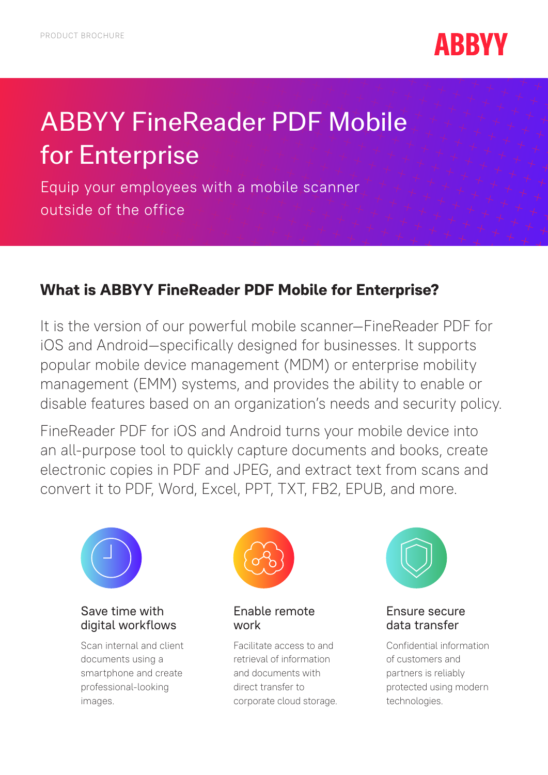

# ABBYY FineReader PDF Mobile for Enterprise

Equip your employees with a mobile scanner outside of the office

## **What is ABBYY FineReader PDF Mobile for Enterprise?**

It is the version of our powerful mobile scanner—FineReader PDF for iOS and Android—specifically designed for businesses. It supports popular mobile device management (MDM) or enterprise mobility management (EMM) systems, and provides the ability to enable or disable features based on an organization's needs and security policy.

FineReader PDF for iOS and Android turns your mobile device into an all-purpose tool to quickly capture documents and books, create electronic copies in PDF and JPEG, and extract text from scans and convert it to PDF, Word, Excel, PPT, TXT, FB2, EPUB, and more.



#### Save time with digital workflows

Scan internal and client documents using a smartphone and create professional-looking images.



Enable remote work

Facilitate access to and retrieval of information and documents with direct transfer to corporate cloud storage.



#### Ensure secure data transfer

Confidential information of customers and partners is reliably protected using modern technologies.